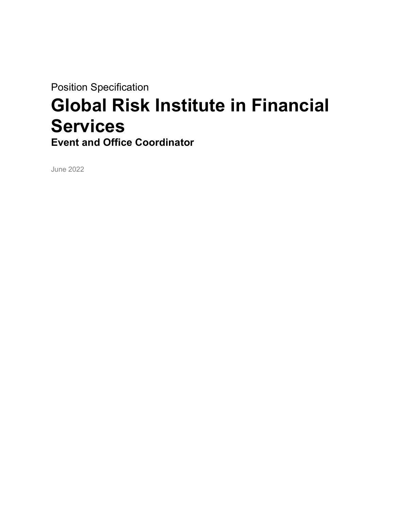Position Specification

# Global Risk Institute in Financial **Services**

Event and Office Coordinator

June 2022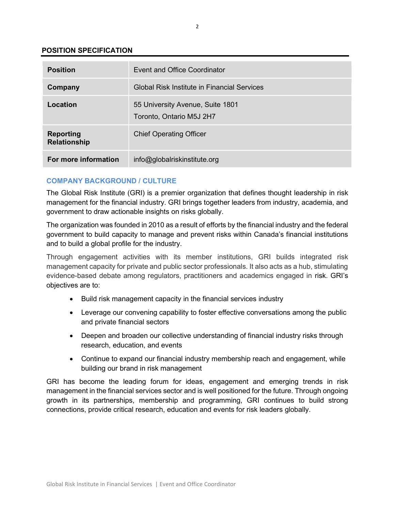# POSITION SPECIFICATION

| <b>Position</b>                         | Event and Office Coordinator                                 |
|-----------------------------------------|--------------------------------------------------------------|
| Company                                 | Global Risk Institute in Financial Services                  |
| Location                                | 55 University Avenue, Suite 1801<br>Toronto, Ontario M5J 2H7 |
| <b>Reporting</b><br><b>Relationship</b> | <b>Chief Operating Officer</b>                               |
| For more information                    | info@globalriskinstitute.org                                 |

# COMPANY BACKGROUND / CULTURE

The Global Risk Institute (GRI) is a premier organization that defines thought leadership in risk management for the financial industry. GRI brings together leaders from industry, academia, and government to draw actionable insights on risks globally.

The organization was founded in 2010 as a result of efforts by the financial industry and the federal government to build capacity to manage and prevent risks within Canada's financial institutions and to build a global profile for the industry.

Through engagement activities with its member institutions, GRI builds integrated risk management capacity for private and public sector professionals. It also acts as a hub, stimulating evidence-based debate among regulators, practitioners and academics engaged in risk. GRI's objectives are to:

- Build risk management capacity in the financial services industry
- Leverage our convening capability to foster effective conversations among the public and private financial sectors
- Deepen and broaden our collective understanding of financial industry risks through research, education, and events
- Continue to expand our financial industry membership reach and engagement, while building our brand in risk management

GRI has become the leading forum for ideas, engagement and emerging trends in risk management in the financial services sector and is well positioned for the future. Through ongoing growth in its partnerships, membership and programming, GRI continues to build strong connections, provide critical research, education and events for risk leaders globally.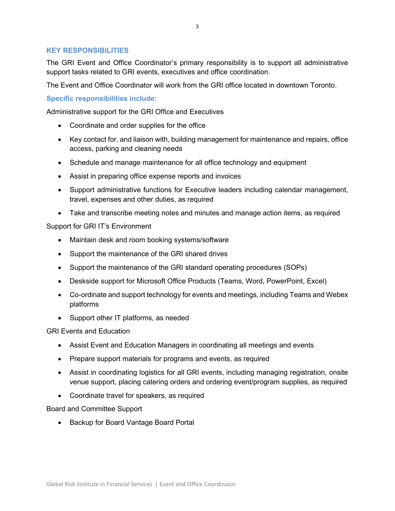# KEY RESPONSIBILITIES

The GRI Event and Office Coordinator's primary responsibility is to support all administrative support tasks related to GRI events, executives and office coordination.

The Event and Office Coordinator will work from the GRI office located in downtown Toronto.

Specific responsibilities include:

Administrative support for the GRI Office and Executives

- Coordinate and order supplies for the office
- Key contact for, and liaison with, building management for maintenance and repairs, office access, parking and cleaning needs
- Schedule and manage maintenance for all office technology and equipment
- Assist in preparing office expense reports and invoices
- Support administrative functions for Executive leaders including calendar management, travel, expenses and other duties, as required
- Take and transcribe meeting notes and minutes and manage action items, as required

Support for GRI IT's Environment

- Maintain desk and room booking systems/software
- Support the maintenance of the GRI shared drives
- Support the maintenance of the GRI standard operating procedures (SOPs)
- Deskside support for Microsoft Office Products (Teams, Word, PowerPoint, Excel)
- Co-ordinate and support technology for events and meetings, including Teams and Webex platforms
- Support other IT platforms, as needed

GRI Events and Education

- Assist Event and Education Managers in coordinating all meetings and events
- Prepare support materials for programs and events, as required
- Assist in coordinating logistics for all GRI events, including managing registration, onsite venue support, placing catering orders and ordering event/program supplies, as required
- Coordinate travel for speakers, as required

Board and Committee Support

• Backup for Board Vantage Board Portal